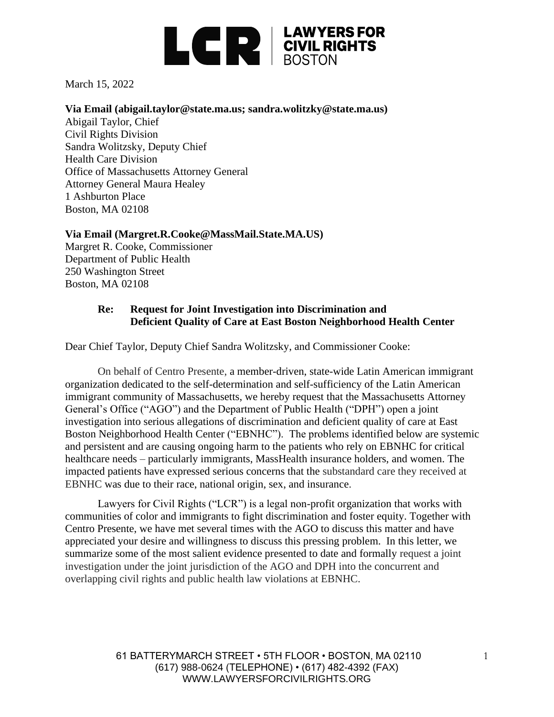

March 15, 2022

#### **Via Email (abigail.taylor@state.ma.us; sandra.wolitzky@state.ma.us)**

Abigail Taylor, Chief Civil Rights Division Sandra Wolitzsky, Deputy Chief Health Care Division Office of Massachusetts Attorney General Attorney General Maura Healey 1 Ashburton Place Boston, MA 02108

### **Via Email (Margret.R.Cooke@MassMail.State.MA.US)**

Margret R. Cooke, Commissioner Department of Public Health 250 Washington Street Boston, MA 02108

### **Re: Request for Joint Investigation into Discrimination and Deficient Quality of Care at East Boston Neighborhood Health Center**

Dear Chief Taylor, Deputy Chief Sandra Wolitzsky, and Commissioner Cooke:

On behalf of Centro Presente, a member-driven, state-wide Latin American immigrant organization dedicated to the self-determination and self-sufficiency of the Latin American immigrant community of Massachusetts, we hereby request that the Massachusetts Attorney General's Office ("AGO") and the Department of Public Health ("DPH") open a joint investigation into serious allegations of discrimination and deficient quality of care at East Boston Neighborhood Health Center ("EBNHC"). The problems identified below are systemic and persistent and are causing ongoing harm to the patients who rely on EBNHC for critical healthcare needs – particularly immigrants, MassHealth insurance holders, and women. The impacted patients have expressed serious concerns that the substandard care they received at EBNHC was due to their race, national origin, sex, and insurance.

Lawyers for Civil Rights ("LCR") is a legal non-profit organization that works with communities of color and immigrants to fight discrimination and foster equity. Together with Centro Presente, we have met several times with the AGO to discuss this matter and have appreciated your desire and willingness to discuss this pressing problem. In this letter, we summarize some of the most salient evidence presented to date and formally request a joint investigation under the joint jurisdiction of the AGO and DPH into the concurrent and overlapping civil rights and public health law violations at EBNHC.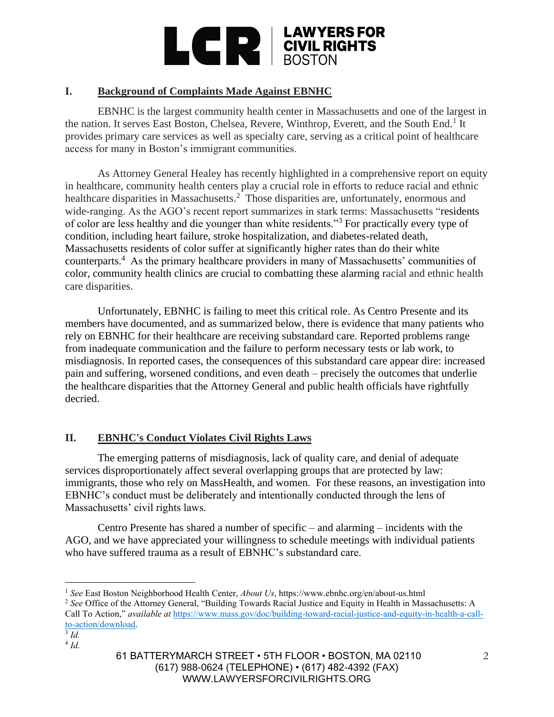

# **I. Background of Complaints Made Against EBNHC**

EBNHC is the largest community health center in Massachusetts and one of the largest in the nation. It serves East Boston, Chelsea, Revere, Winthrop, Everett, and the South End.<sup>1</sup> It provides primary care services as well as specialty care, serving as a critical point of healthcare access for many in Boston's immigrant communities.

As Attorney General Healey has recently highlighted in a comprehensive report on equity in healthcare, community health centers play a crucial role in efforts to reduce racial and ethnic healthcare disparities in Massachusetts.<sup>2</sup> Those disparities are, unfortunately, enormous and wide-ranging. As the AGO's recent report summarizes in stark terms: Massachusetts "residents of color are less healthy and die younger than white residents."<sup>3</sup> For practically every type of condition, including heart failure, stroke hospitalization, and diabetes-related death, Massachusetts residents of color suffer at significantly higher rates than do their white counterparts.<sup>4</sup> As the primary healthcare providers in many of Massachusetts' communities of color, community health clinics are crucial to combatting these alarming racial and ethnic health care disparities.

Unfortunately, EBNHC is failing to meet this critical role. As Centro Presente and its members have documented, and as summarized below, there is evidence that many patients who rely on EBNHC for their healthcare are receiving substandard care. Reported problems range from inadequate communication and the failure to perform necessary tests or lab work, to misdiagnosis. In reported cases, the consequences of this substandard care appear dire: increased pain and suffering, worsened conditions, and even death – precisely the outcomes that underlie the healthcare disparities that the Attorney General and public health officials have rightfully decried.

# **II. EBNHC's Conduct Violates Civil Rights Laws**

The emerging patterns of misdiagnosis, lack of quality care, and denial of adequate services disproportionately affect several overlapping groups that are protected by law: immigrants, those who rely on MassHealth, and women. For these reasons, an investigation into EBNHC's conduct must be deliberately and intentionally conducted through the lens of Massachusetts' civil rights laws.

Centro Presente has shared a number of specific – and alarming – incidents with the AGO, and we have appreciated your willingness to schedule meetings with individual patients who have suffered trauma as a result of EBNHC's substandard care.

3 *Id.*

<sup>1</sup> *See* East Boston Neighborhood Health Center, *About Us*, https://www.ebnhc.org/en/about-us.html

<sup>2</sup> *See* Office of the Attorney General, "Building Towards Racial Justice and Equity in Health in Massachusetts: A Call To Action," *available at* [https://www.mass.gov/doc/building-toward-racial-justice-and-equity-in-health-a-call](https://www.mass.gov/doc/building-toward-racial-justice-and-equity-in-health-a-call-to-action/download)[to-action/download.](https://www.mass.gov/doc/building-toward-racial-justice-and-equity-in-health-a-call-to-action/download)

<sup>4</sup> *Id.*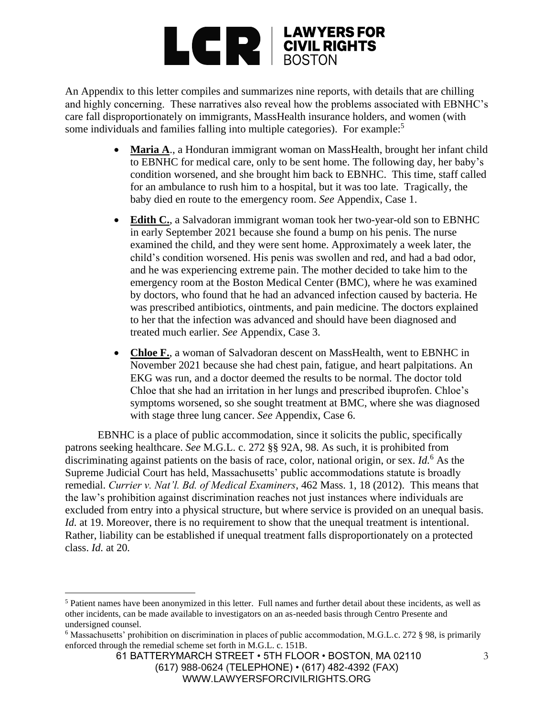

An Appendix to this letter compiles and summarizes nine reports, with details that are chilling and highly concerning. These narratives also reveal how the problems associated with EBNHC's care fall disproportionately on immigrants, MassHealth insurance holders, and women (with some individuals and families falling into multiple categories). For example:<sup>5</sup>

- Maria A., a Honduran immigrant woman on MassHealth, brought her infant child to EBNHC for medical care, only to be sent home. The following day, her baby's condition worsened, and she brought him back to EBNHC. This time, staff called for an ambulance to rush him to a hospital, but it was too late. Tragically, the baby died en route to the emergency room. *See* Appendix, Case 1.
- **Edith C.**, a Salvadoran immigrant woman took her two-year-old son to EBNHC in early September 2021 because she found a bump on his penis. The nurse examined the child, and they were sent home. Approximately a week later, the child's condition worsened. His penis was swollen and red, and had a bad odor, and he was experiencing extreme pain. The mother decided to take him to the emergency room at the Boston Medical Center (BMC), where he was examined by doctors, who found that he had an advanced infection caused by bacteria. He was prescribed antibiotics, ointments, and pain medicine. The doctors explained to her that the infection was advanced and should have been diagnosed and treated much earlier. *See* Appendix, Case 3.
- Chloe F., a woman of Salvadoran descent on MassHealth, went to EBNHC in November 2021 because she had chest pain, fatigue, and heart palpitations. An EKG was run, and a doctor deemed the results to be normal. The doctor told Chloe that she had an irritation in her lungs and prescribed ibuprofen. Chloe's symptoms worsened, so she sought treatment at BMC, where she was diagnosed with stage three lung cancer. *See* Appendix, Case 6.

EBNHC is a place of public accommodation, since it solicits the public, specifically patrons seeking healthcare. *See* M.G.L. c. 272 §§ 92A, 98. As such, it is prohibited from discriminating against patients on the basis of race, color, national origin, or sex. *Id.*<sup>6</sup> As the Supreme Judicial Court has held, Massachusetts' public accommodations statute is broadly remedial. *Currier v. Nat'l. Bd. of Medical Examiners*, 462 Mass. 1, 18 (2012). This means that the law's prohibition against discrimination reaches not just instances where individuals are excluded from entry into a physical structure, but where service is provided on an unequal basis. *Id.* at 19. Moreover, there is no requirement to show that the unequal treatment is intentional. Rather, liability can be established if unequal treatment falls disproportionately on a protected class. *Id.* at 20*.*

<sup>5</sup> Patient names have been anonymized in this letter. Full names and further detail about these incidents, as well as other incidents, can be made available to investigators on an as-needed basis through Centro Presente and undersigned counsel.

 $6$  Massachusetts' prohibition on discrimination in places of public accommodation, M.G.L.c. 272 § 98, is primarily enforced through the remedial scheme set forth in M.G.L. c. 151B.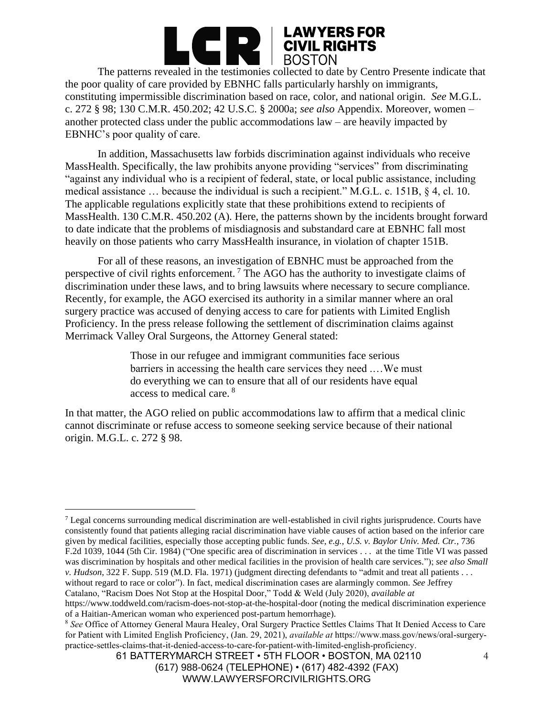

the poor quality of care provided by EBNHC falls particularly harshly on immigrants, constituting impermissible discrimination based on race, color, and national origin. *See* M.G.L. c. 272 § 98; 130 C.M.R. 450.202; 42 U.S.C. § 2000a; *see also* Appendix. Moreover, women – another protected class under the public accommodations law – are heavily impacted by EBNHC's poor quality of care.

In addition, Massachusetts law forbids discrimination against individuals who receive MassHealth. Specifically, the law prohibits anyone providing "services" from discriminating "against any individual who is a recipient of federal, state, or local public assistance, including medical assistance … because the individual is such a recipient." M.G.L. c. 151B, § 4, cl. 10. The applicable regulations explicitly state that these prohibitions extend to recipients of MassHealth. 130 C.M.R. 450.202 (A). Here, the patterns shown by the incidents brought forward to date indicate that the problems of misdiagnosis and substandard care at EBNHC fall most heavily on those patients who carry MassHealth insurance, in violation of chapter 151B.

For all of these reasons, an investigation of EBNHC must be approached from the perspective of civil rights enforcement. <sup>7</sup> The AGO has the authority to investigate claims of discrimination under these laws, and to bring lawsuits where necessary to secure compliance. Recently, for example, the AGO exercised its authority in a similar manner where an oral surgery practice was accused of denying access to care for patients with Limited English Proficiency. In the press release following the settlement of discrimination claims against Merrimack Valley Oral Surgeons, the Attorney General stated:

> Those in our refugee and immigrant communities face serious barriers in accessing the health care services they need .…We must do everything we can to ensure that all of our residents have equal access to medical care. <sup>8</sup>

In that matter, the AGO relied on public accommodations law to affirm that a medical clinic cannot discriminate or refuse access to someone seeking service because of their national origin. M.G.L. c. 272 § 98.

<sup>7</sup> Legal concerns surrounding medical discrimination are well-established in civil rights jurisprudence. Courts have consistently found that patients alleging racial discrimination have viable causes of action based on the inferior care given by medical facilities, especially those accepting public funds. *See, e.g.*, *U.S. v. Baylor Univ. Med. Ctr.*, 736 F.2d 1039, 1044 (5th Cir. 1984) ("One specific area of discrimination in services . . . at the time Title VI was passed was discrimination by hospitals and other medical facilities in the provision of health care services."); *see also Small v. Hudson*, 322 F. Supp. 519 (M.D. Fla. 1971) (judgment directing defendants to "admit and treat all patients . . . without regard to race or color"). In fact, medical discrimination cases are alarmingly common. *See* Jeffrey Catalano, "Racism Does Not Stop at the Hospital Door," Todd & Weld (July 2020), *available at* https://www.toddweld.com/racism-does-not-stop-at-the-hospital-door (noting the medical discrimination experience

of a Haitian-American woman who experienced post-partum hemorrhage).

<sup>8</sup> *See* Office of Attorney General Maura Healey, Oral Surgery Practice Settles Claims That It Denied Access to Care for Patient with Limited English Proficiency, (Jan. 29, 2021), *available at* https://www.mass.gov/news/oral-surgerypractice-settles-claims-that-it-denied-access-to-care-for-patient-with-limited-english-proficiency.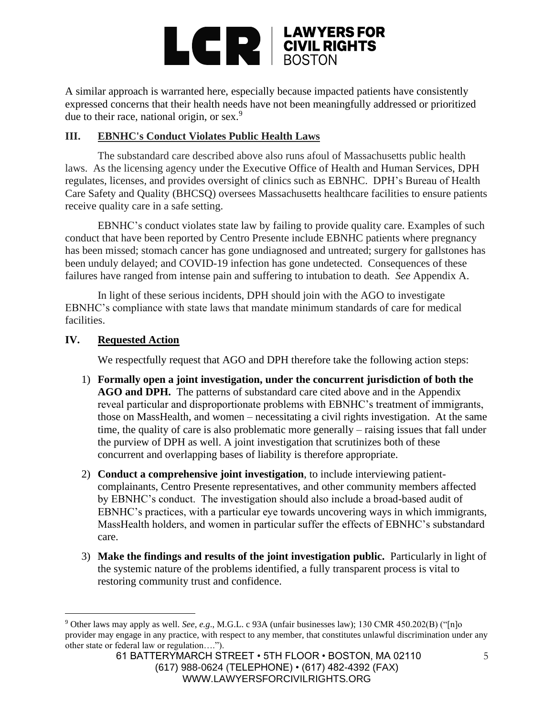

A similar approach is warranted here, especially because impacted patients have consistently expressed concerns that their health needs have not been meaningfully addressed or prioritized due to their race, national origin, or sex. $9$ 

## **III. EBNHC's Conduct Violates Public Health Laws**

The substandard care described above also runs afoul of Massachusetts public health laws. As the licensing agency under the Executive Office of Health and Human Services, DPH regulates, licenses, and provides oversight of clinics such as EBNHC. DPH's Bureau of Health Care Safety and Quality (BHCSQ) oversees Massachusetts healthcare facilities to ensure patients receive quality care in a safe setting.

EBNHC's conduct violates state law by failing to provide quality care. Examples of such conduct that have been reported by Centro Presente include EBNHC patients where pregnancy has been missed; stomach cancer has gone undiagnosed and untreated; surgery for gallstones has been unduly delayed; and COVID-19 infection has gone undetected. Consequences of these failures have ranged from intense pain and suffering to intubation to death. *See* Appendix A.

In light of these serious incidents, DPH should join with the AGO to investigate EBNHC's compliance with state laws that mandate minimum standards of care for medical facilities.

## **IV. Requested Action**

We respectfully request that AGO and DPH therefore take the following action steps:

- 1) **Formally open a joint investigation, under the concurrent jurisdiction of both the AGO and DPH.** The patterns of substandard care cited above and in the Appendix reveal particular and disproportionate problems with EBNHC's treatment of immigrants, those on MassHealth, and women – necessitating a civil rights investigation. At the same time, the quality of care is also problematic more generally – raising issues that fall under the purview of DPH as well. A joint investigation that scrutinizes both of these concurrent and overlapping bases of liability is therefore appropriate.
- 2) **Conduct a comprehensive joint investigation**, to include interviewing patientcomplainants, Centro Presente representatives, and other community members affected by EBNHC's conduct. The investigation should also include a broad-based audit of EBNHC's practices, with a particular eye towards uncovering ways in which immigrants, MassHealth holders, and women in particular suffer the effects of EBNHC's substandard care.
- 3) **Make the findings and results of the joint investigation public.** Particularly in light of the systemic nature of the problems identified, a fully transparent process is vital to restoring community trust and confidence.

<sup>9</sup> Other laws may apply as well. *See*, *e.g*., M.G.L. c 93A (unfair businesses law); 130 CMR 450.202(B) ("[n]o provider may engage in any practice, with respect to any member, that constitutes unlawful discrimination under any other state or federal law or regulation….").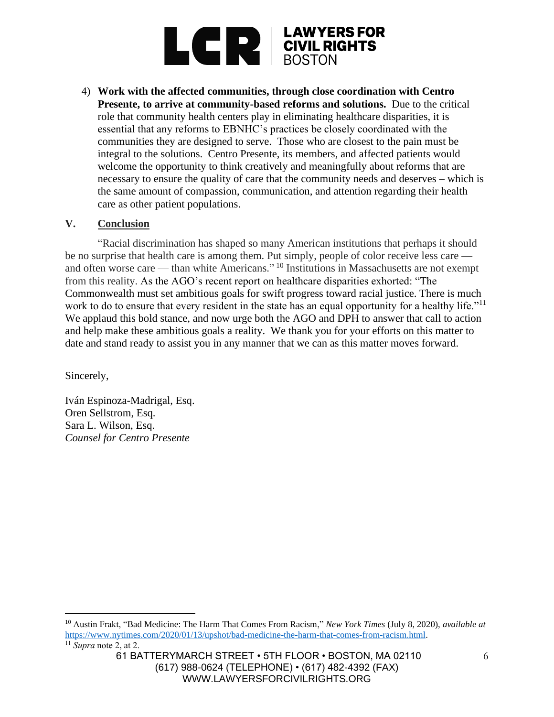

4) **Work with the affected communities, through close coordination with Centro Presente, to arrive at community-based reforms and solutions.** Due to the critical role that community health centers play in eliminating healthcare disparities, it is essential that any reforms to EBNHC's practices be closely coordinated with the communities they are designed to serve. Those who are closest to the pain must be integral to the solutions. Centro Presente, its members, and affected patients would welcome the opportunity to think creatively and meaningfully about reforms that are necessary to ensure the quality of care that the community needs and deserves – which is the same amount of compassion, communication, and attention regarding their health care as other patient populations.

### **V. Conclusion**

"Racial discrimination has shaped so many American institutions that perhaps it should be no surprise that health care is among them. Put simply, people of color receive less care and often worse care — than white Americans." <sup>10</sup> Institutions in Massachusetts are not exempt from this reality. As the AGO's recent report on healthcare disparities exhorted: "The Commonwealth must set ambitious goals for swift progress toward racial justice. There is much work to do to ensure that every resident in the state has an equal opportunity for a healthy life."<sup>11</sup> We applaud this bold stance, and now urge both the AGO and DPH to answer that call to action and help make these ambitious goals a reality. We thank you for your efforts on this matter to date and stand ready to assist you in any manner that we can as this matter moves forward.

Sincerely,

Iván Espinoza-Madrigal, Esq. Oren Sellstrom, Esq. Sara L. Wilson, Esq. *Counsel for Centro Presente*

<sup>10</sup> Austin Frakt, "Bad Medicine: The Harm That Comes From Racism," *New York Times* (July 8, 2020), *available at* [https://www.nytimes.com/2020/01/13/upshot/bad-medicine-the-harm-that-comes-from-racism.html.](https://www.nytimes.com/2020/01/13/upshot/bad-medicine-the-harm-that-comes-from-racism.html)  $\overline{11}$  *Supra* note 2, at 2.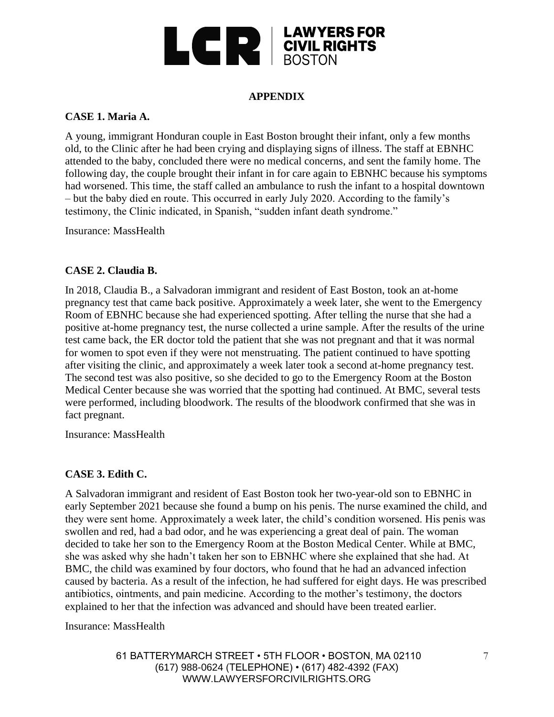

# **APPENDIX**

## **CASE 1. Maria A.**

A young, immigrant Honduran couple in East Boston brought their infant, only a few months old, to the Clinic after he had been crying and displaying signs of illness. The staff at EBNHC attended to the baby, concluded there were no medical concerns, and sent the family home. The following day, the couple brought their infant in for care again to EBNHC because his symptoms had worsened. This time, the staff called an ambulance to rush the infant to a hospital downtown – but the baby died en route. This occurred in early July 2020. According to the family's testimony, the Clinic indicated, in Spanish, "sudden infant death syndrome."

Insurance: MassHealth

## **CASE 2. Claudia B.**

In 2018, Claudia B., a Salvadoran immigrant and resident of East Boston, took an at-home pregnancy test that came back positive. Approximately a week later, she went to the Emergency Room of EBNHC because she had experienced spotting. After telling the nurse that she had a positive at-home pregnancy test, the nurse collected a urine sample. After the results of the urine test came back, the ER doctor told the patient that she was not pregnant and that it was normal for women to spot even if they were not menstruating. The patient continued to have spotting after visiting the clinic, and approximately a week later took a second at-home pregnancy test. The second test was also positive, so she decided to go to the Emergency Room at the Boston Medical Center because she was worried that the spotting had continued. At BMC, several tests were performed, including bloodwork. The results of the bloodwork confirmed that she was in fact pregnant.

Insurance: MassHealth

#### **CASE 3. Edith C.**

A Salvadoran immigrant and resident of East Boston took her two-year-old son to EBNHC in early September 2021 because she found a bump on his penis. The nurse examined the child, and they were sent home. Approximately a week later, the child's condition worsened. His penis was swollen and red, had a bad odor, and he was experiencing a great deal of pain. The woman decided to take her son to the Emergency Room at the Boston Medical Center. While at BMC, she was asked why she hadn't taken her son to EBNHC where she explained that she had. At BMC, the child was examined by four doctors, who found that he had an advanced infection caused by bacteria. As a result of the infection, he had suffered for eight days. He was prescribed antibiotics, ointments, and pain medicine. According to the mother's testimony, the doctors explained to her that the infection was advanced and should have been treated earlier.

Insurance: MassHealth

61 BATTERYMARCH STREET • 5TH FLOOR • BOSTON, MA 02110 (617) 988-0624 (TELEPHONE) • (617) 482-4392 (FAX) WWW.LAWYERSFORCIVILRIGHTS.ORG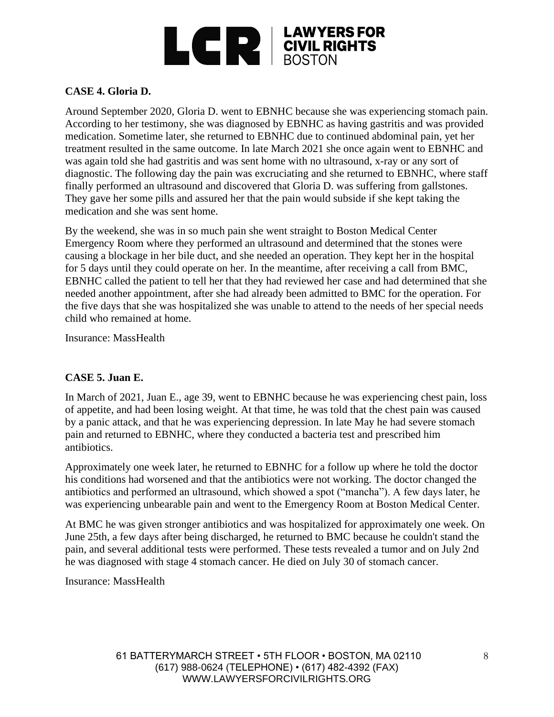

# **CASE 4. Gloria D.**

Around September 2020, Gloria D. went to EBNHC because she was experiencing stomach pain. According to her testimony, she was diagnosed by EBNHC as having gastritis and was provided medication. Sometime later, she returned to EBNHC due to continued abdominal pain, yet her treatment resulted in the same outcome. In late March 2021 she once again went to EBNHC and was again told she had gastritis and was sent home with no ultrasound, x-ray or any sort of diagnostic. The following day the pain was excruciating and she returned to EBNHC, where staff finally performed an ultrasound and discovered that Gloria D. was suffering from gallstones. They gave her some pills and assured her that the pain would subside if she kept taking the medication and she was sent home.

By the weekend, she was in so much pain she went straight to Boston Medical Center Emergency Room where they performed an ultrasound and determined that the stones were causing a blockage in her bile duct, and she needed an operation. They kept her in the hospital for 5 days until they could operate on her. In the meantime, after receiving a call from BMC, EBNHC called the patient to tell her that they had reviewed her case and had determined that she needed another appointment, after she had already been admitted to BMC for the operation. For the five days that she was hospitalized she was unable to attend to the needs of her special needs child who remained at home.

Insurance: MassHealth

#### **CASE 5. Juan E.**

In March of 2021, Juan E., age 39, went to EBNHC because he was experiencing chest pain, loss of appetite, and had been losing weight. At that time, he was told that the chest pain was caused by a panic attack, and that he was experiencing depression. In late May he had severe stomach pain and returned to EBNHC, where they conducted a bacteria test and prescribed him antibiotics.

Approximately one week later, he returned to EBNHC for a follow up where he told the doctor his conditions had worsened and that the antibiotics were not working. The doctor changed the antibiotics and performed an ultrasound, which showed a spot ("mancha"). A few days later, he was experiencing unbearable pain and went to the Emergency Room at Boston Medical Center.

At BMC he was given stronger antibiotics and was hospitalized for approximately one week. On June 25th, a few days after being discharged, he returned to BMC because he couldn't stand the pain, and several additional tests were performed. These tests revealed a tumor and on July 2nd he was diagnosed with stage 4 stomach cancer. He died on July 30 of stomach cancer.

Insurance: MassHealth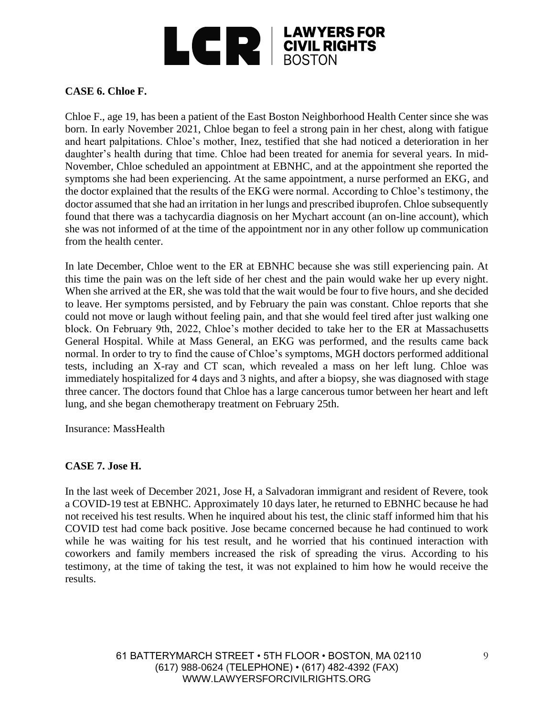

## **CASE 6. Chloe F.**

Chloe F., age 19, has been a patient of the East Boston Neighborhood Health Center since she was born. In early November 2021, Chloe began to feel a strong pain in her chest, along with fatigue and heart palpitations. Chloe's mother, Inez, testified that she had noticed a deterioration in her daughter's health during that time. Chloe had been treated for anemia for several years. In mid-November, Chloe scheduled an appointment at EBNHC, and at the appointment she reported the symptoms she had been experiencing. At the same appointment, a nurse performed an EKG, and the doctor explained that the results of the EKG were normal. According to Chloe's testimony, the doctor assumed that she had an irritation in her lungs and prescribed ibuprofen. Chloe subsequently found that there was a tachycardia diagnosis on her Mychart account (an on-line account), which she was not informed of at the time of the appointment nor in any other follow up communication from the health center.

In late December, Chloe went to the ER at EBNHC because she was still experiencing pain. At this time the pain was on the left side of her chest and the pain would wake her up every night. When she arrived at the ER, she was told that the wait would be four to five hours, and she decided to leave. Her symptoms persisted, and by February the pain was constant. Chloe reports that she could not move or laugh without feeling pain, and that she would feel tired after just walking one block. On February 9th, 2022, Chloe's mother decided to take her to the ER at Massachusetts General Hospital. While at Mass General, an EKG was performed, and the results came back normal. In order to try to find the cause of Chloe's symptoms, MGH doctors performed additional tests, including an X-ray and CT scan, which revealed a mass on her left lung. Chloe was immediately hospitalized for 4 days and 3 nights, and after a biopsy, she was diagnosed with stage three cancer. The doctors found that Chloe has a large cancerous tumor between her heart and left lung, and she began chemotherapy treatment on February 25th.

Insurance: MassHealth

#### **CASE 7. Jose H.**

In the last week of December 2021, Jose H, a Salvadoran immigrant and resident of Revere, took a COVID-19 test at EBNHC. Approximately 10 days later, he returned to EBNHC because he had not received his test results. When he inquired about his test, the clinic staff informed him that his COVID test had come back positive. Jose became concerned because he had continued to work while he was waiting for his test result, and he worried that his continued interaction with coworkers and family members increased the risk of spreading the virus. According to his testimony, at the time of taking the test, it was not explained to him how he would receive the results.